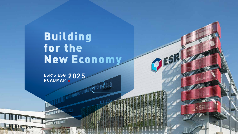# Building for the New Economy

**SRUM** 

**2025ESR'S ESG ROADMAP**  THE MANUFACTURE OF THE ASSESSMENT OF THE

**STATE OF BUILDING** 

**RESIDENTIAL REGION**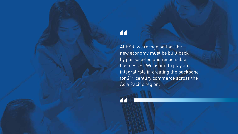# "

"

At ESR, we recognise that the new economy must be built back by purpose-led and responsible businesses. We aspire to play an integral role in creating the backbone for 21<sup>st</sup> century commerce across the Asia Pacific region.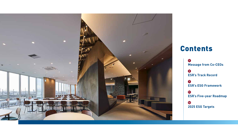

# Contents

**4 Message from Co-CEOs 5 ESR's Track Record 7 ESR's ESG Framework 11 ESR's Five-year Roadmap 12 2025 ESG Targets**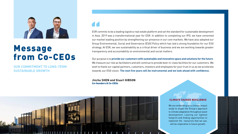

# Message from Co-CEOs

**OUR COMMITMENT TO LONG-TERM SUSTAINABLE GROWTH**

ESR commits to be a leading logistics real estate platform and set the standard for sustainable development in Asia. 2019 was a transformational year for ESR. In addition to completing our IPO, we have cemented our market leading position by strengthening our presence in our core markets. We have also adopted our Group Environmental, Social and Governance (ESG) Policy which has laid a strong foundation for our ESG strategy. At ESR, we see sustainability as a critical driver of business and we are working towards greater transparency and accountability on environmental and social matters. ESR cornel<br>
in Asia.<br>
our mai

Our purpose is to **provide our customers with sustainable and innovative space and solutions for the future**. We treasure our role as facilitators and will continue to provide best-in-class facilities for our customers. We wish to thank our capital partners, customers, investors and employees for your trust in us as we accelerate towards our ESG vision. **The next five years will be instrumental and we look ahead with confidence.**

**Jinchu SHEN and Stuart GIBSON** Co-founders & Co-CEOs



#### CLIMATE CHANGE RESILIENCE

We are embarking on a climate impact study to shape the Group's approach to climate adaptation throughout asset development. Leaving our lightest footprint and finding opportunities to replenish the resources that we use, will be imperative to future growth.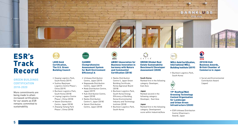

# ESR's Track Record

#### **GREEN BUILDINGS CERTIFICATION 2018-2020**

More commitments are being made to attain increased certifications for our assets as ESR remains committed to sustainability.



LEED Gold Certification, The U.S. Green Building Council

- Goyang Logistics Park, South Korea (2019)
- Suzhou Baojinyan Logistics Centre Phase I, China (2019)
- Bucheon Logistics Park, South Korea (2018)
- Linping Logistics Centre Phase I, China (2018)
- Yatomi Distribution Centre, Japan (2018)
- Zhejiang Yuhang Park Phase I, China (2018)



CASBEE

CASBEE (Comprehensive Assessment System for Built Environment Efficiency) A

- Ichikawa Distribution Centre, Japan (2019)
- Nagoyaoda Distribution Centre, Japan (2019) • Noda Distribution Centre,
- Japan (2019) • Kuki Distribution Centre,
- Japan (2018) • Nanko Distribution
- Centre II, Japan (2018) • Yatomi Distribution
- Centre, Japan (2018)



ABINC (Association for Business Innovation in harmony with Nature and Community) Certification (2018)

- Nanko Distribution Centre II, Japan Green Building Certificate, Korea Appraisal Board (2018)
- Bucheon Logistics Park, South Korea Energy Efficiency of Building, Korea Environmental Industry and Technology
- Institute (2018)
- Bucheon Logistics Park, South Korea



GRESB (Global Real Estate Sustainability Benchmark) Developer Assessment (2020)

#### **South Korea**

Ranked first in the following category: Developer, East Asia

#### **Japan**

Ranked second in the following category: Developer, East Asia

#### **Japan**

Ranked first in the following category: Development score within Industrial/Asia



WELL Gold Certification, International WELL Building Institute (2019) 2018 British Business Awards, British Chamber of Commerce in Japan

**BBA**<br>2018

(Japan)

• Social and Environmental Contribution Award

• Bucheon Logistics Park, South Korea



#### 19th Rooftop/Wall Greening Technology Contest Organisation for Landscape and Urban Green Infrastructure (2020)

• ESR Ichikawa Distribution Centre (Chairman's Award), Japan

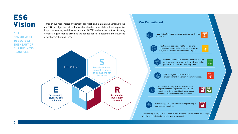# **ESG** Vision

**OUR COMMITMENT TO ESG IS AT THE HEART OF OUR BUSINESS PRACTICES**

Through our responsible investment approach and maintaining a strong focus on ESG, our objective is to enhance shareholder value while achieving positive impacts on society and the environment. At ESR, we believe a culture of strong corporate governance provides the foundation for sustained and balanced growth over the long term.



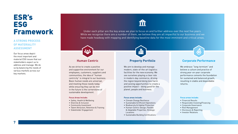# ESR's **ESG** Framework

#### **A STRONG PROCESS OF MATERIALITY ASSESSMENT**

Our focus areas depict the most important and material ESG issues that our stakeholders expect us to address and manage. We do so by balancing the needs of various markets across our key markets.

Under each pillar are the key areas we plan to focus on and further address over the next five years. While we recognise there are a number of them, we believe they are all impactful to our business and we have made headway with mapping and identifying baseline data for the most imminent and critical areas.

#### **Human Centric**

**VARY** 

**Examples the distribution of the set of the set of the set of the set of the set of the set of the set of the set of the set of the set of the set of the set of the set of the set of the set of the set of the set of the s** As we strive to create a positive and supportive environment for our employees, customers, suppliers and communities, the idea of "human centricity" is integral to our business. Basic human needs are universal, and meeting those needs today while ensuring they can be met in the future is the cornerstone of sustainable development.

#### **Focus Areas Include:**

- Safety, Health & Wellbeing
- Diversity & Inclusion
- Community Investment
- Talent Attraction, Retention & Training
- Stakeholder Engagement

#### **Property Portfolio**

ᆲ

We aim to develop and manage modern, state-of-the-art logistics facilities for the new economy. We see ourselves playing a clear role in modern-day commerce, driving the region beyond doing less harm and seizing opportunities to create a positive impact – doing good for the planet, people and business.

#### **Focus areas include:**

- Climate Change Resilience
- Sustainable & Efficient Operations
- Biodiversity & Habitat Protection
- Human-Centric Design, Flexible & Adaptable Properties, Strategic Locations
- Sustainable Building Certifications

#### **Corporate Performance**

Ú

We embrace "long-termism" and believe a culture and practice of strong year-on-year corporate performance cements the foundation for sustained and balanced growth, resulting in stable and dependable returns.

#### **Focus areas include:**

- Financial Results
- Responsible Investing/Financing
- Corporate Governance
- Risk Management
- Disclosure & Reporting
- Investor Relations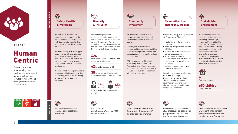

**PILLAR 1** 

# Human Centric

We are committed to enhancing the workplace environment as we chart our way forward for continuous engagement with our stakeholders.

 $\gamma$ ⊜

#### W **Safety, Health & Wellbeing**

We commit to providing safe workplaces and promoting the holistic wellbeing of our people with due consideration for the importance of healthy work-life balance.

We work closely with our supply chain to ensure that employees of our contractors enjoy the same standards of protection as we expect for our own people. Our Supplier Code of Conduct is available [here](https://www.esr.com/pdf/Supplier_Code_of_Conduct_2020_EN.pdf).

We value what our employees have to say and will always ensure that their safety, health and wellbeing are central to our business decisions.

Safe working environment targeting **Zero Workforce** 

**Fatalities**

®

TARGETS FOCUS AREAS

**ARGETS** 

**OCUS AREAS** 

 $\mathbb{G}_{\mathbb{Q}}$ **Diversity & Inclusion** 

We are in the process of consolidating and strengthening our network as the Group continues its growth trajectory. We are committed to fostering workplaces that embrace diversity and are free from any and all discrimination.

#### **626**

employees across six markets and corporate headquarters

#### **62**% under the age of 40

**35**% female participation rate (share of women in the total workforce)



23% of Senior Executives being women



Gender ratio of **40/60 women/men by 2025**  (from base year 2019)



 $\sum$ 

An important element of our corporate culture is giving back to the communities in which we operate.

In India, our initiatives focus include building sanitation facilities in nearby villages and schools and the establishment of small medical dispensaries.

ESR co-founded the Qin Charity Fund along with the Red Cross Foundation and other enterprises and individuals in 2016, and efforts include construction of classrooms with digital resources.

Development of a **Group-wide Community Engagement/ Foundation Programme**

 $\circled{\mathbb{C}}$ 



Across the Group, we aspire to be an Employer of Choice:

- Fostering a culture of active learning
- Training programmes around ESG topics
- A clear path and process for career progression
- Total rewards and life insurance or contributions to retirement and social security schemes
- Employee engagement and feedback processes

Investing in tomorrow's leaders: ESR-REIT has in place a Bursary programme which offers financial support to cover tuition fees and book allowances for secondary and college-age students



Development and implementation of an **employee engagement programme** with action and monitoring plans (In progress)

## **Stakeholder Engagement**

We have established kids clubs in distribution centres exceeding 100,000 sqm, known as Barnklübbs. The facilities are run by licensed day-care providers, offering convenient and high-quality services that are free-ofcharge for employees of our tenants, helping our customers attract and retain talent while also increasing workforce productivity.



**6**

Day care centres

**650 children** Daily Capacity



Development and implementation of a **tenant engagement programme** with action and monitoring plans (In progress)

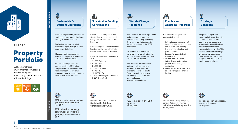

**PILLAR 2** 

# Property Portfolio

ESR demonstrates environmental stewardship by developing and maintaining sustainable and efficient buildings.



#### 1 **Sustainable & Efficient Operations**

Across our operations, we focus on continuous improvement by always striving to do more with less.

50MW clean energy installed capacity in Japan through rooftop solar power initiatives

12 properties in Australia have installed energy-efficient lighting (23% of our porfolio by GFA)

With new developments, we plan to invest in LED lighting, comprehensive waste water and waste management systems, expansive green areas and rooftop solar panels when possible.

TARGETS FOCUS AREAS

**TARGETS** 

FOCUS AREAS



We aim to take compliance one step further by obtaining globally recognised certifications for our buildings.

Bucheon Logistics Park is the first logistics facility in Asia Pacific to receive a WELL Gold certification.

ESR's Certified Green Buildings in 2019:

- 1 LEED Platinum
- 8 LEED Gold
- 2 LEED Silver
- 3 LEED Certified
- 9 NABERS
- 18 CASBEE "A"
- 2 Green Building (South Korea)
- 5 BCA Green Mark

#### **Climate Change Resilience**

ESR supports the Paris Agreement and we are embarking on a climate impact study and taking the steps toward aligning with the four principles of the TCFD<sup>1</sup> framework.

We commit to communicating our progress of our physical risk assessment across our portfolio over the next five years.

ESR Australia has developed a climate risk assessment framework, which will be incorporated into our existing Environmental Management System to guide day-to-day asset and property management decisions.



## **Adaptable Properties**

Our sites are designed with occupants in mind.

- Optimal space utilisation with large floor plates, high ceilings and wide column spacing
- Highly efficient loading and parking areas
- Secure storage with 24/7 surveillance
- Customisable features
- Active design features that provide accessibility and aesthetics
- Active transit provisions such as bike storage and shower facilities



To optimise import and export logistics and domestic market distribution for our customers, our assets are strategically located in close proximity to established transportation networks. This has the important advantage of helping our customers reduce their environmental footprint from transporting workers and products.

(C)

**Focus on securing assets** in key strategic locations (In progress)

 $\bigcirc$ **50% increase in solar power generation by 2025** (from base year 2019)

**20% reduction in energy consumption across the group by 2025** (from base year 2019)



50% of ESR's portfolio to obtain **Sustainable Building Certifications by 2025**



Fully **compliant with TCFD by 2025** (In progress)



G

To have our buildings designed, constructed and maintained to **limit material degradation** (In progress)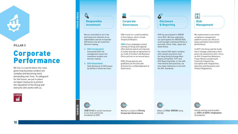

#### **PILLAR 3**

# Corporate Performance

We live in a world where the rules governing business conduct are complex and becoming more demanding over time. To safeguard for the future, we put in place stringent measures to protect the reputation of the Group and everyone who works with us.



#### **Responsible Investment**

We are committed to act in the best long-term interests of our stakeholders and we incorporate ESG factors into all investment decision-making.

- **1. ESG Incorporation** Incorporate ESG risk management issues into investment analysis and decision making
- **2. ESG Stewardship** Seek disclosure on ESG issues by entities in which we invest

#### 貝 **Corporate Governance**

ESR is built on a solid foundation of Core Values, which include Integrity & Respect.

100% of our employees receive training on Group and regional office policies and all are required to review and sign an agreement to our Code of Conduct and Business Ethics policies on an annual basis.

ESR's Group policies and guidelines set the tone and direction for a unified approach to Governance.

## **Disclosure & Reporting**

ESR has participated in GRESB since 2014. We have submitted our participation for GRESB 2020, covering eight unlisted portfolios in Australia, China, India, Japan and South Korea.

Our annual ESG report complies with relevant provisions from the Hong Kong Exchange Main Board Listing Rule 13.91 and ESG Reporting Guide. In line with international best practices, we also make references in line with the GRI Standards.



We implemented a new online compliance management platform across our offices to allow automation and monitor performance.

In 2019, the Group and the funds that it manage undertook a third party risk assessment with a focus on Anti-Competitive Behaviour, Fraud, Money Laundering & Financial Irregularities, Corruption and Irregularities, Sanctions and Exclusions and Product Regulations.

**US\$15 mil** in social investment

to our local community foundation by 2030







Obtain a **3 Star GRESB** rating average



Annual training to be provided to **100% of ESR's employees** (In progress)



**TARGETS** 

TARGETS FOCUS AREAS

**OCUS AREAS** 

 $\odot$ 

Maintain a culture of **Strong Corporate Governance**

**10**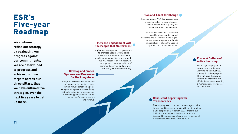# ESR's Five-year Roadmap

**We continue to refine our strategy by evaluating our progress against our commitments. We are determined to progress and achieve our nine targets across our three pillars, thus we have outlined five strategies over the next five years to get us there.**

#### Plan and Adapt for Change

Conduct regular ESG risk assessments in building safety, energy efficiency, indoor environmental quality and waste and water management.

In Australia, we use a climate risk model to inform our buy or sell decisions and for the rest of the region, we are embarking on a wwclimate impact study to shape the Group's approach to climate adaptation.

#### Increase Engagement with the People that Matter Most

Implement engagement programmes to promote health & well-being to provide all our stakeholders with a positive and supportive environment. We will measure our impact with the hopes of creating a culture of community service and promote harmony with the community.

#### Develop and Embed Systems and Processes for the Long-Term

Integrate ESG considerations into all stages of the business cycle which include establishing data management systems, streamlining ESG data collection processes and developing policies while setting annual performance targets and reviews.

#### Foster A Culture of Active Learning

Encourage employees to progress on continuous learning with annual ESG training for all employees. This will pave the way for streamlined systems and efficient processes, creating a more resilient workforce for the future.

#### Consistent Reporting with **Transparency**

Plan to progress in our reporting each year, with honesty and transperancy. We will look to produce a GRI adopted ESG report by 2022, improve our GRESB score and participate at a corporate level and become a signatory of the Principles of Responsible Investment (PRI) by 2024.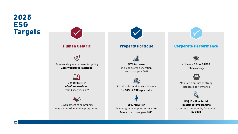# 2025 **ESG** Targets



**12**